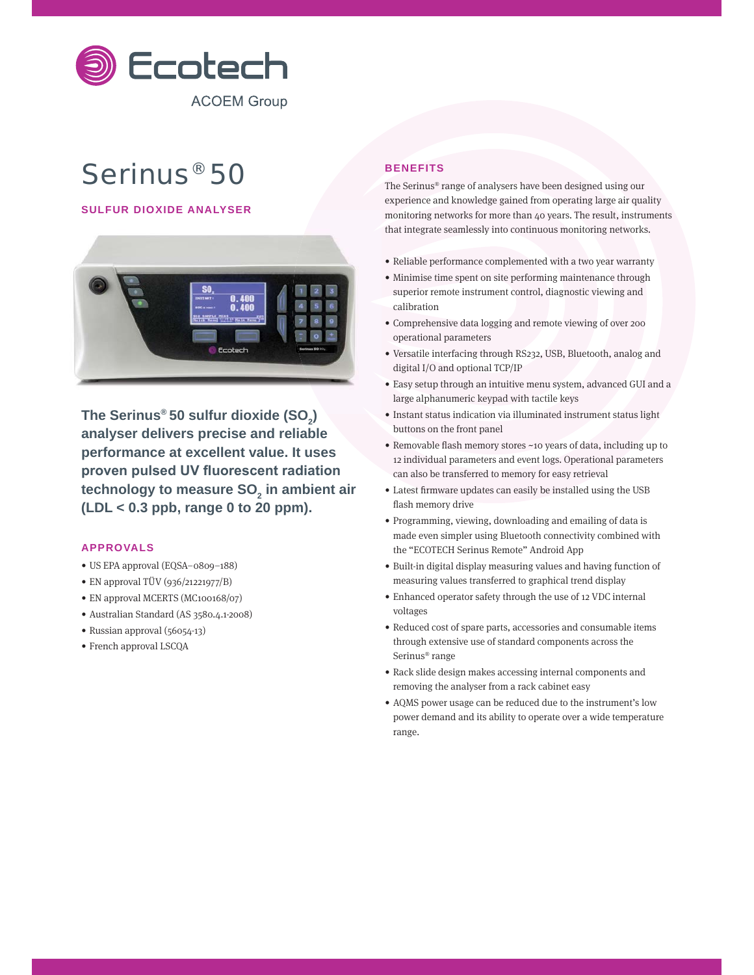

# Serinus® 50

## **SULFUR DIOXIDE ANALYSER**



**The Serinus® 50 sulfur dioxide (SO2 ) analyser delivers precise and reliable performance at excellent value. It uses**  proven pulsed UV fluorescent radiation technology to measure SO<sub>2</sub> in ambient air **(LDL < 0.3 ppb, range 0 to 20 ppm).**

#### **APPROVALS**

- US EPA approval (EQSA–0809–188)
- EN approval TÜV (936/21221977/B)
- EN approval MCERTS (MC100168/07)
- Australian Standard (AS 3580.4.1-2008)
- Russian approval (56054-13)
- French approval LSCQA

### **BENEFITS**

The Serinus® range of analysers have been designed using our experience and knowledge gained from operating large air quality monitoring networks for more than 40 years. The result, instruments that integrate seamlessly into continuous monitoring networks.

- Reliable performance complemented with a two year warranty
- Minimise time spent on site performing maintenance through superior remote instrument control, diagnostic viewing and calibration
- Comprehensive data logging and remote viewing of over 200 operational parameters
- Versatile interfacing through RS232, USB, Bluetooth, analog and digital I/O and optional TCP/IP
- Easy setup through an intuitive menu system, advanced GUI and a large alphanumeric keypad with tactile keys
- Instant status indication via illuminated instrument status light buttons on the front panel
- Removable flash memory stores ~10 years of data, including up to 12 individual parameters and event logs. Operational parameters can also be transferred to memory for easy retrieval
- Latest firmware updates can easily be installed using the USB flash memory drive
- Programming, viewing, downloading and emailing of data is made even simpler using Bluetooth connectivity combined with the "ECOTECH Serinus Remote" Android App
- Built-in digital display measuring values and having function of measuring values transferred to graphical trend display
- Enhanced operator safety through the use of 12 VDC internal voltages
- Reduced cost of spare parts, accessories and consumable items through extensive use of standard components across the Serinus® range
- Rack slide design makes accessing internal components and removing the analyser from a rack cabinet easy
- AQMS power usage can be reduced due to the instrument's low power demand and its ability to operate over a wide temperature range.